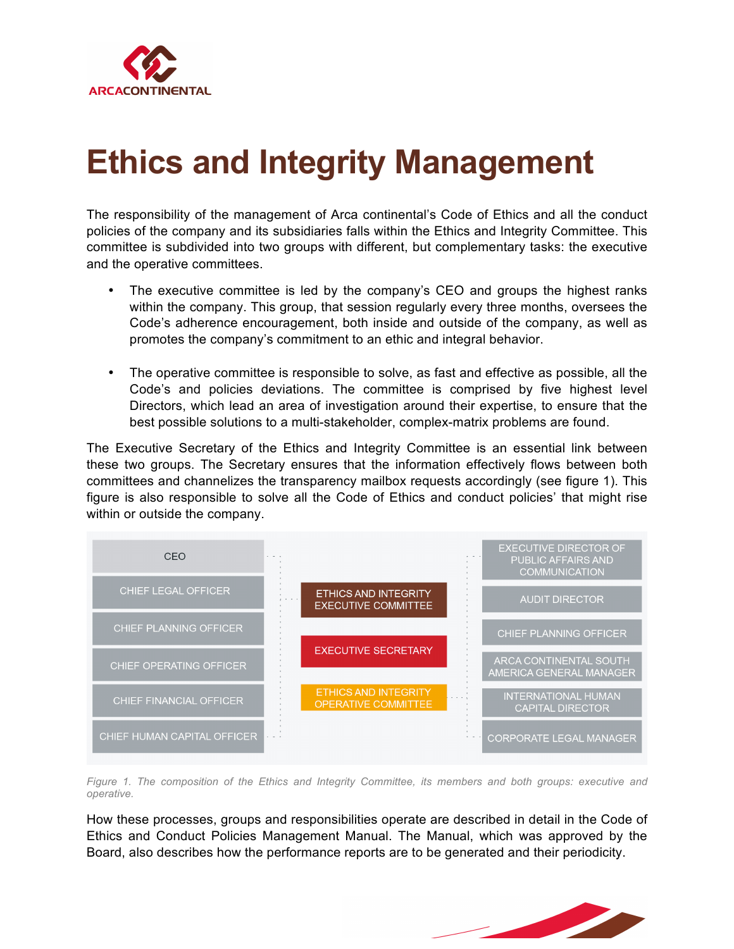

## **Ethics and Integrity Management**

The responsibility of the management of Arca continental's Code of Ethics and all the conduct policies of the company and its subsidiaries falls within the Ethics and Integrity Committee. This committee is subdivided into two groups with different, but complementary tasks: the executive and the operative committees.

- The executive committee is led by the company's CEO and groups the highest ranks within the company. This group, that session regularly every three months, oversees the Code's adherence encouragement, both inside and outside of the company, as well as promotes the company's commitment to an ethic and integral behavior.
- The operative committee is responsible to solve, as fast and effective as possible, all the Code's and policies deviations. The committee is comprised by five highest level Directors, which lead an area of investigation around their expertise, to ensure that the best possible solutions to a multi-stakeholder, complex-matrix problems are found.

The Executive Secretary of the Ethics and Integrity Committee is an essential link between these two groups. The Secretary ensures that the information effectively flows between both committees and channelizes the transparency mailbox requests accordingly (see figure 1). This figure is also responsible to solve all the Code of Ethics and conduct policies' that might rise within or outside the company.



*Figure 1. The composition of the Ethics and Integrity Committee, its members and both groups: executive and operative.* 

How these processes, groups and responsibilities operate are described in detail in the Code of Ethics and Conduct Policies Management Manual. The Manual, which was approved by the Board, also describes how the performance reports are to be generated and their periodicity.